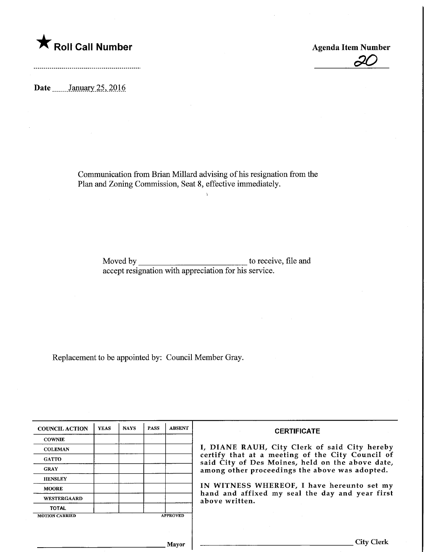

Agenda Item Number

**J**O

Date ........January 25, 2016

Communication from Brian Millard advising of his resignation from the Plan and Zoning Commission, Seat 8, effective immediately.

 $\chi$ 

Moved by to receive, file and accept resignation with appreciation for his service.

Replacement to be appointed by: Council Member Gray.

| <b>COUNCIL ACTION</b> | <b>YEAS</b> | <b>NAYS</b> | <b>PASS</b> | <b>ABSENT</b>   | <b>CERTIFICATE</b>                                                                                   |
|-----------------------|-------------|-------------|-------------|-----------------|------------------------------------------------------------------------------------------------------|
| <b>COWNIE</b>         |             |             |             |                 |                                                                                                      |
| <b>COLEMAN</b>        |             |             |             |                 | I, DIANE RAUH, City Clerk of said City hereby                                                        |
| <b>GATTO</b>          |             |             |             |                 | certify that at a meeting of the City Council of<br>said City of Des Moines, held on the above date, |
| <b>GRAY</b>           |             |             |             |                 | among other proceedings the above was adopted.                                                       |
| <b>HENSLEY</b>        |             |             |             |                 |                                                                                                      |
| <b>MOORE</b>          |             |             |             |                 | IN WITNESS WHEREOF, I have hereunto set my<br>hand and affixed my seal the day and year first        |
| WESTERGAARD           |             |             |             |                 | above written.                                                                                       |
| <b>TOTAL</b>          |             |             |             |                 |                                                                                                      |
| <b>MOTION CARRIED</b> |             |             |             | <b>APPROVED</b> |                                                                                                      |
|                       |             |             |             |                 |                                                                                                      |
|                       |             |             |             |                 |                                                                                                      |
|                       |             |             |             | Mavor           | City (                                                                                               |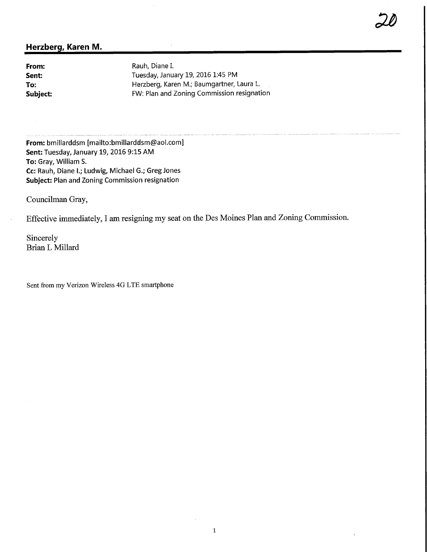## Herzberg, Karen M.

**From:** Rauh, Diane I.<br> **Sent:** Tuesday, Janu Sent: Tuesday, January 19, 2016 1:45 PM<br>To: The Herzberg, Karen M.; Baumgartner, I Herzberg, Karen M.; Baumgartner, Laura L. Subject: FW: Plan and Zoning Commission resignation  $\overline{20}$ 

From: bmillarddsm [mailto:bmillarddsm@aol.com] Sent: Tuesday, January 19, 2016 9:15 AM To: Gray, William S. Cc: Rauh, Diane I.; Ludwig, Michael G.; Greg Jones Subject: Plan and Zoning Commission resignation

Councilman Gray,

Effective immediately, I am resigning my seat on the Des Moines Plan and Zoning Commission.

Sincerely Brian L Millard

Sent from my Verizon Wireless 4G LTE smartphone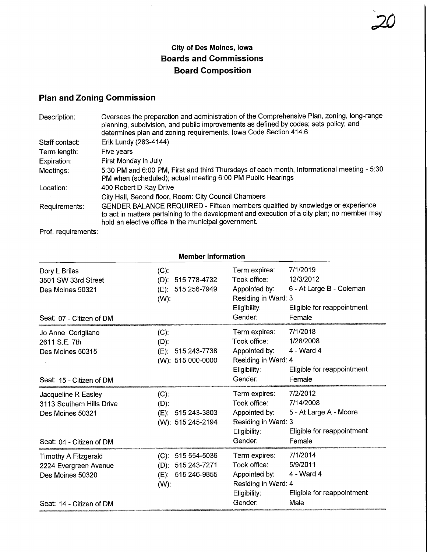## City of Des Moines, Iowa Boards and Commissions Board Composition

 $\overline{\phantom{a}}$ 

## Plan and Zoning Commission

| Description:   | Oversees the preparation and administration of the Comprehensive Plan, zoning, long-range<br>planning, subdivision, and public improvements as defined by codes; sets policy; and<br>determines plan and zoning requirements. Iowa Code Section 414.6 |  |  |  |
|----------------|-------------------------------------------------------------------------------------------------------------------------------------------------------------------------------------------------------------------------------------------------------|--|--|--|
| Staff contact: | Erik Lundy (283-4144)                                                                                                                                                                                                                                 |  |  |  |
| Term length:   | Five years                                                                                                                                                                                                                                            |  |  |  |
| Expiration:    | First Monday in July                                                                                                                                                                                                                                  |  |  |  |
| Meetings:      | 5:30 PM and 6:00 PM, First and third Thursdays of each month, Informational meeting - 5:30<br>PM when (scheduled); actual meeting 6:00 PM Public Hearings                                                                                             |  |  |  |
| Location:      | 400 Robert D Ray Drive                                                                                                                                                                                                                                |  |  |  |
|                | City Hall, Second floor, Room: City Council Chambers                                                                                                                                                                                                  |  |  |  |
| Requirements:  | GENDER BALANCE REQUIRED - Fifteen members qualified by knowledge or experience<br>to act in matters pertaining to the development and execution of a city plan; no member may<br>hold an elective office in the municipal government.                 |  |  |  |

Prof. requirements:

| <b>Member Information</b>                                                                        |                                                                                       |                                                                                                                                                                                               |  |  |  |
|--------------------------------------------------------------------------------------------------|---------------------------------------------------------------------------------------|-----------------------------------------------------------------------------------------------------------------------------------------------------------------------------------------------|--|--|--|
| Dory L Briles<br>3501 SW 33rd Street<br>Des Moines 50321<br>Seat: 07 - Citizen of DM             | $(C)$ :<br>515 778-4732<br>$(D)$ :<br>515 256-7949<br>(E):<br>$(W)$ :                 | 7/1/2019<br>Term expires:<br>Took office:<br>12/3/2012<br>Appointed by:<br>6 - At Large B - Coleman<br>Residing in Ward: 3<br>Eligibility:<br>Eligible for reappointment<br>Gender:<br>Female |  |  |  |
| Jo Anne Corigliano<br>2611 S.E. 7th<br>Des Moines 50315<br>Seat: 15 - Citizen of DM              | (C).<br>$(D)$ :<br>515 243-7738<br>$(E)$ :<br>(W): 515 000-0000                       | 7/1/2018<br>Term expires:<br>Took office:<br>1/28/2008<br>Appointed by:<br>4 - Ward 4<br>Residing in Ward: 4<br>Eligibility:<br>Eligible for reappointment<br>Gender:<br>Female               |  |  |  |
| Jacqueline R Easley<br>3113 Southern Hills Drive<br>Des Moines 50321<br>Seat: 04 - Citizen of DM | $(C)$ :<br>$(D)$ :<br>$(E)$ : 515 243-3803<br>(W): 515 245-2194                       | 7/2/2012<br>Term expires:<br>Took office:<br>7/14/2008<br>Appointed by:<br>5 - At Large A - Moore<br>Residing in Ward: 3<br>Eligible for reappointment<br>Eligibility:<br>Gender:<br>Female   |  |  |  |
| Timothy A Fitzgerald<br>2224 Evergreen Avenue<br>Des Moines 50320<br>Seat: 14 - Citizen of DM    | 515 554-5036<br>$(C)$ :<br>515 243-7271<br>$(D)$ :<br>515 246-9855<br>(E):<br>$(W)$ : | 7/1/2014<br>Term expires:<br>Took office:<br>5/9/2011<br>4 - Ward 4<br>Appointed by:<br>Residing in Ward: 4<br>Eligible for reappointment<br>Eligibility:<br>Gender:<br>Male                  |  |  |  |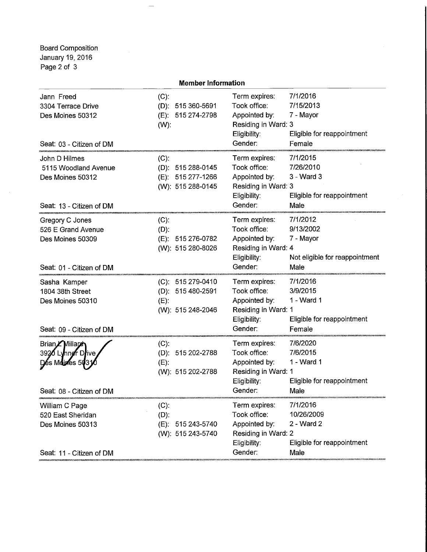Board Composition January 19,2016 Page 2 of 3

 $\bar{z}$ 

|                                                                                       | <b>Member Information</b>                                              |                                                                                                  |                                                                              |
|---------------------------------------------------------------------------------------|------------------------------------------------------------------------|--------------------------------------------------------------------------------------------------|------------------------------------------------------------------------------|
| Jann Freed<br>3304 Terrace Drive<br>Des Moines 50312<br>Seat: 03 - Citizen of DM      | $(C)$ :<br>(D): 515 360-5691<br>(E): 515 274-2798<br>$(W)$ :           | Term expires:<br>Took office:<br>Appointed by:<br>Residing in Ward: 3<br>Eligibility:<br>Gender: | 7/1/2016<br>7/15/2013<br>7 - Mayor<br>Eligible for reappointment<br>Female   |
| John D Hilmes<br>5115 Woodland Avenue<br>Des Moines 50312<br>Seat: 13 - Citizen of DM | $(C)$ :<br>(D): 515 288-0145<br>(E): 515 277-1266<br>(W): 515 288-0145 | Term expires:<br>Took office:<br>Appointed by:<br>Residing in Ward: 3<br>Eligibility:<br>Gender: | 7/1/2015<br>7/26/2010<br>$3 - Ward3$<br>Eligible for reappointment<br>Male   |
| Gregory C Jones<br>526 E Grand Avenue<br>Des Moines 50309<br>Seat: 01 - Citizen of DM | $(C)$ :<br>$(D)$ :<br>(E): 515 276-0782<br>(W): 515 280-8026           | Term expires:<br>Took office:<br>Appointed by:<br>Residing in Ward: 4<br>Eligibility:<br>Gender: | 7/1/2012<br>9/13/2002<br>7 - Mayor<br>Not eligible for reappointment<br>Male |
| Sasha Kamper<br>1804 38th Street<br>Des Moines 50310<br>Seat: 09 - Citizen of DM      | (C): 515 279-0410<br>(D): 515 480-2591<br>$(E)$ :<br>(W): 515 248-2046 | Term expires:<br>Took office:<br>Appointed by:<br>Residing in Ward: 1<br>Eligibility:<br>Gender: | 7/1/2016<br>3/9/2015<br>1 - Ward 1<br>Eligible for reappointment<br>Female   |
| Brian Millaren<br>3920 Lynner Drive<br>Mouves 50<br>Seat: 08 - Citizen of DM          | $(C)$ :<br>(D): 515 202-2788<br>$(E)$ :<br>(W): 515 202-2788           | Term expires:<br>Took office:<br>Appointed by:<br>Residing in Ward: 1<br>Eligibility:<br>Gender: | 7/6/2020<br>7/6/2015<br>1 - Ward 1<br>Eligible for reappointment<br>Male     |
| William C Page<br>520 East Sheridan<br>Des Moines 50313<br>Seat: 11 - Citizen of DM   | $(C)$ :<br>$(D)$ :<br>(E): 515 243-5740<br>(W): 515 243-5740           | Term expires:<br>Took office:<br>Appointed by:<br>Residing in Ward: 2<br>Eligibility:<br>Gender: | 7/1/2016<br>10/26/2009<br>2 - Ward 2<br>Eligible for reappointment<br>Male   |
|                                                                                       |                                                                        |                                                                                                  |                                                                              |